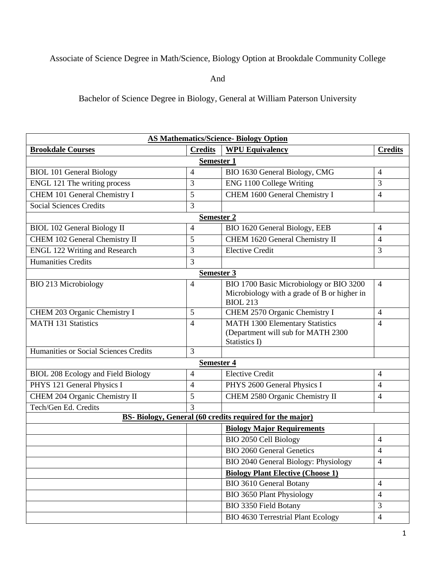## Associate of Science Degree in Math/Science, Biology Option at Brookdale Community College

And

Bachelor of Science Degree in Biology, General at William Paterson University

| <b>AS Mathematics/Science-Biology Option</b>             |                          |                                                                                                           |                |  |
|----------------------------------------------------------|--------------------------|-----------------------------------------------------------------------------------------------------------|----------------|--|
| <b>Brookdale Courses</b>                                 | <b>Credits</b>           | <b>WPU Equivalency</b>                                                                                    | <b>Credits</b> |  |
| <b>Semester 1</b>                                        |                          |                                                                                                           |                |  |
| <b>BIOL 101 General Biology</b>                          | 4                        | BIO 1630 General Biology, CMG                                                                             | $\overline{4}$ |  |
| ENGL 121 The writing process                             | 3                        | ENG 1100 College Writing                                                                                  | 3              |  |
| CHEM 101 General Chemistry I                             | 5                        | CHEM 1600 General Chemistry I                                                                             | 4              |  |
| <b>Social Sciences Credits</b>                           | 3                        |                                                                                                           |                |  |
| Semester 2                                               |                          |                                                                                                           |                |  |
| <b>BIOL 102 General Biology II</b>                       | $\overline{\mathcal{A}}$ | BIO 1620 General Biology, EEB                                                                             | $\overline{4}$ |  |
| CHEM 102 General Chemistry II                            | 5                        | CHEM 1620 General Chemistry II                                                                            | 4              |  |
| <b>ENGL 122 Writing and Research</b>                     | 3                        | <b>Elective Credit</b>                                                                                    | 3              |  |
| <b>Humanities Credits</b>                                | 3                        |                                                                                                           |                |  |
|                                                          | Semester 3               |                                                                                                           |                |  |
| <b>BIO 213 Microbiology</b>                              | 4                        | BIO 1700 Basic Microbiology or BIO 3200<br>Microbiology with a grade of B or higher in<br><b>BIOL 213</b> | $\overline{4}$ |  |
| CHEM 203 Organic Chemistry I                             | 5                        | CHEM 2570 Organic Chemistry I                                                                             | $\overline{4}$ |  |
| <b>MATH 131 Statistics</b>                               | $\overline{4}$           | <b>MATH 1300 Elementary Statistics</b><br>(Department will sub for MATH 2300<br>Statistics I)             | $\overline{4}$ |  |
| Humanities or Social Sciences Credits                    | 3                        |                                                                                                           |                |  |
| <b>Semester 4</b>                                        |                          |                                                                                                           |                |  |
| <b>BIOL 208 Ecology and Field Biology</b>                | 4                        | Elective Credit                                                                                           | 4              |  |
| PHYS 121 General Physics I                               | 4                        | PHYS 2600 General Physics I                                                                               | $\overline{4}$ |  |
| CHEM 204 Organic Chemistry II                            | 5                        | CHEM 2580 Organic Chemistry II                                                                            | 4              |  |
| Tech/Gen Ed. Credits                                     | 3                        |                                                                                                           |                |  |
| BS- Biology, General (60 credits required for the major) |                          |                                                                                                           |                |  |
|                                                          |                          | <b>Biology Major Requirements</b>                                                                         |                |  |
|                                                          |                          | BIO 2050 Cell Biology                                                                                     | 4              |  |
|                                                          |                          | <b>BIO 2060 General Genetics</b>                                                                          | 4              |  |
|                                                          |                          | BIO 2040 General Biology: Physiology                                                                      | $\overline{4}$ |  |
|                                                          |                          | <b>Biology Plant Elective (Choose 1)</b>                                                                  |                |  |
|                                                          |                          | <b>BIO 3610 General Botany</b>                                                                            | $\overline{4}$ |  |
|                                                          |                          | <b>BIO 3650 Plant Physiology</b>                                                                          | $\overline{4}$ |  |
|                                                          |                          | <b>BIO 3350 Field Botany</b>                                                                              | $\overline{3}$ |  |
|                                                          |                          | <b>BIO 4630 Terrestrial Plant Ecology</b>                                                                 | 4              |  |